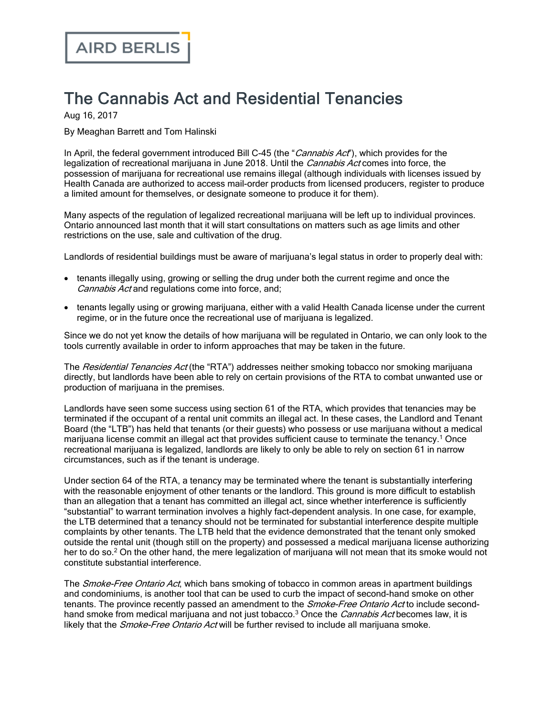## The Cannabis Act and Residential Tenancies

Aug 16, 2017

By Meaghan Barrett and Tom Halinski

In April, the federal government introduced Bill C-45 (the "Cannabis Act"), which provides for the legalization of recreational marijuana in June 2018. Until the *Cannabis Act* comes into force, the possession of marijuana for recreational use remains illegal (although individuals with licenses issued by Health Canada are authorized to access mail-order products from licensed producers, register to produce a limited amount for themselves, or designate someone to produce it for them).

Many aspects of the regulation of legalized recreational marijuana will be left up to individual provinces. Ontario announced last month that it will start consultations on matters such as age limits and other restrictions on the use, sale and cultivation of the drug.

Landlords of residential buildings must be aware of marijuana's legal status in order to properly deal with:

- · tenants illegally using, growing or selling the drug under both the current regime and once the Cannabis Act and regulations come into force, and;
- · tenants legally using or growing marijuana, either with a valid Health Canada license under the current regime, or in the future once the recreational use of marijuana is legalized.

Since we do not yet know the details of how marijuana will be regulated in Ontario, we can only look to the tools currently available in order to inform approaches that may be taken in the future.

The *Residential Tenancies Act* (the "RTA") addresses neither smoking tobacco nor smoking marijuana directly, but landlords have been able to rely on certain provisions of the RTA to combat unwanted use or production of marijuana in the premises.

Landlords have seen some success using section 61 of the RTA, which provides that tenancies may be terminated if the occupant of a rental unit commits an illegal act. In these cases, the Landlord and Tenant Board (the "LTB") has held that tenants (or their guests) who possess or use marijuana without a medical marijuana license commit an illegal act that provides sufficient cause to terminate the tenancy.<sup>1</sup> Once recreational marijuana is legalized, landlords are likely to only be able to rely on section 61 in narrow circumstances, such as if the tenant is underage.

Under section 64 of the RTA, a tenancy may be terminated where the tenant is substantially interfering with the reasonable enjoyment of other tenants or the landlord. This ground is more difficult to establish than an allegation that a tenant has committed an illegal act, since whether interference is sufficiently "substantial" to warrant termination involves a highly fact-dependent analysis. In one case, for example, the LTB determined that a tenancy should not be terminated for substantial interference despite multiple complaints by other tenants. The LTB held that the evidence demonstrated that the tenant only smoked outside the rental unit (though still on the property) and possessed a medical marijuana license authorizing her to do so.<sup>2</sup> On the other hand, the mere legalization of marijuana will not mean that its smoke would not constitute substantial interference.

The *Smoke-Free Ontario Act*, which bans smoking of tobacco in common areas in apartment buildings and condominiums, is another tool that can be used to curb the impact of second-hand smoke on other tenants. The province recently passed an amendment to the *Smoke-Free Ontario Act* to include secondhand smoke from medical marijuana and not just tobacco.<sup>3</sup> Once the *Cannabis Act* becomes law, it is likely that the *Smoke-Free Ontario Act* will be further revised to include all marijuana smoke.